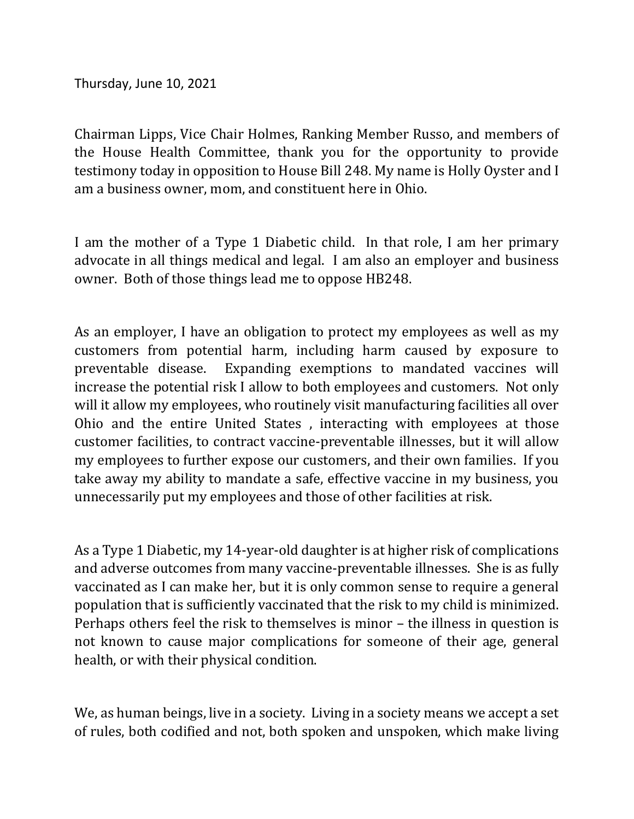Thursday, June 10, 2021

Chairman Lipps, Vice Chair Holmes, Ranking Member Russo, and members of the House Health Committee, thank you for the opportunity to provide testimony today in opposition to House Bill 248. My name is Holly Oyster and I am a business owner, mom, and constituent here in Ohio.

I am the mother of a Type 1 Diabetic child. In that role, I am her primary advocate in all things medical and legal. I am also an employer and business owner. Both of those things lead me to oppose HB248.

As an employer, I have an obligation to protect my employees as well as my customers from potential harm, including harm caused by exposure to preventable disease. Expanding exemptions to mandated vaccines will increase the potential risk I allow to both employees and customers. Not only will it allow my employees, who routinely visit manufacturing facilities all over Ohio and the entire United States , interacting with employees at those customer facilities, to contract vaccine-preventable illnesses, but it will allow my employees to further expose our customers, and their own families. If you take away my ability to mandate a safe, effective vaccine in my business, you unnecessarily put my employees and those of other facilities at risk.

As a Type 1 Diabetic, my 14-year-old daughter is at higher risk of complications and adverse outcomes from many vaccine-preventable illnesses. She is as fully vaccinated as I can make her, but it is only common sense to require a general population that is sufficiently vaccinated that the risk to my child is minimized. Perhaps others feel the risk to themselves is minor – the illness in question is not known to cause major complications for someone of their age, general health, or with their physical condition.

We, as human beings, live in a society. Living in a society means we accept a set of rules, both codified and not, both spoken and unspoken, which make living